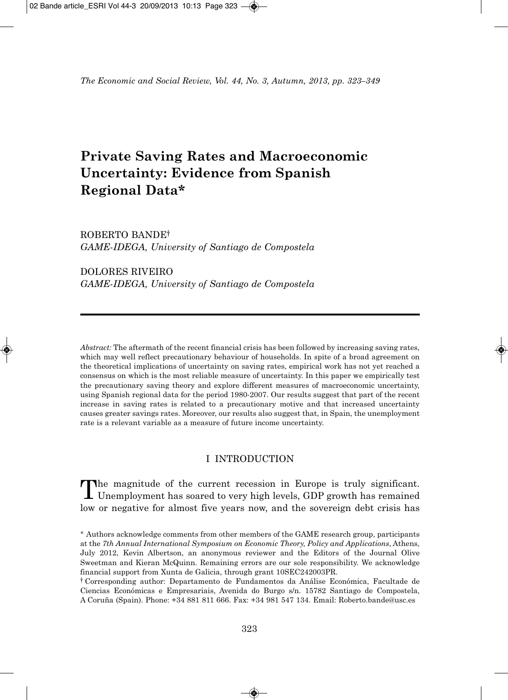# **Private Saving Rates and Macroeconomic Uncertainty: Evidence from Spanish Regional Data\***

ROBERTO BANDE† *GAME-IDEGA, University of Santiago de Compostela*

# DOLORES RIVEIRO

*GAME-IDEGA, University of Santiago de Compostela*

*Abstract:* The aftermath of the recent financial crisis has been followed by increasing saving rates, which may well reflect precautionary behaviour of households. In spite of a broad agreement on the theoretical implications of uncertainty on saving rates, empirical work has not yet reached a consensus on which is the most reliable measure of uncertainty. In this paper we empirically test the precautionary saving theory and explore different measures of macroeconomic uncertainty, using Spanish regional data for the period 1980-2007. Our results suggest that part of the recent increase in saving rates is related to a precautionary motive and that increased uncertainty causes greater savings rates. Moreover, our results also suggest that, in Spain, the unemployment rate is a relevant variable as a measure of future income uncertainty.

## I INTRODUCTION

The magnitude of the current recession in Europe is truly significant.<br>Unemployment has soared to very high levels, GDP growth has remained low or negative for almost five years now, and the sovereign debt crisis has

<sup>\*</sup>Authors acknowledge comments from other members of the GAME research group, participants at the *7th Annual International Symposium on Economic Theory, Policy and Applications*, Athens, July 2012, Kevin Albertson, an anonymous reviewer and the Editors of the Journal Olive Sweetman and Kieran McQuinn. Remaining errors are our sole responsibility. We acknowledge financial support from Xunta de Galicia, through grant 10SEC242003PR.

<sup>†</sup> Corresponding author: Departamento de Fundamentos da Análise Económica, Facultade de Ciencias Económicas e Empresariais, Avenida do Burgo s/n. 15782 Santiago de Compostela, A Coruña (Spain). Phone: +34 881 811 666. Fax: +34 981 547 134. Email: Roberto.bande@usc.es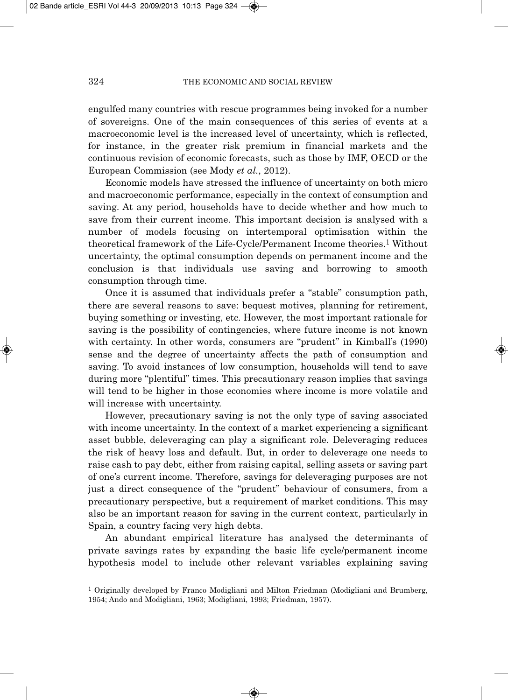engulfed many countries with rescue programmes being invoked for a number of sovereigns. One of the main consequences of this series of events at a macroeconomic level is the increased level of uncertainty, which is reflected, for instance, in the greater risk premium in financial markets and the continuous revision of economic forecasts, such as those by IMF, OECD or the European Commission (see Mody *et al.*, 2012).

Economic models have stressed the influence of uncertainty on both micro and macroeconomic performance, especially in the context of consumption and saving. At any period, households have to decide whether and how much to save from their current income. This important decision is analysed with a number of models focusing on intertemporal optimisation within the theoretical framework of the Life-Cycle/Permanent Income theories.1 Without uncertainty, the optimal consumption depends on permanent income and the conclusion is that individuals use saving and borrowing to smooth consumption through time.

Once it is assumed that individuals prefer a "stable" consumption path, there are several reasons to save: bequest motives, planning for retirement, buying something or investing, etc. However, the most important rationale for saving is the possibility of contingencies, where future income is not known with certainty. In other words, consumers are "prudent" in Kimball's (1990) sense and the degree of uncertainty affects the path of consumption and saving. To avoid instances of low consumption, households will tend to save during more "plentiful" times. This precautionary reason implies that savings will tend to be higher in those economies where income is more volatile and will increase with uncertainty.

However, precautionary saving is not the only type of saving associated with income uncertainty. In the context of a market experiencing a significant asset bubble, deleveraging can play a significant role. Deleveraging reduces the risk of heavy loss and default. But, in order to deleverage one needs to raise cash to pay debt, either from raising capital, selling assets or saving part of one's current income. Therefore, savings for deleveraging purposes are not just a direct consequence of the "prudent" behaviour of consumers, from a precautionary perspective, but a requirement of market conditions. This may also be an important reason for saving in the current context, particularly in Spain, a country facing very high debts.

An abundant empirical literature has analysed the determinants of private savings rates by expanding the basic life cycle/permanent income hypothesis model to include other relevant variables explaining saving

 $1$  Originally developed by Franco Modigliani and Milton Friedman (Modigliani and Brumberg, 1954; Ando and Modigliani, 1963; Modigliani, 1993; Friedman, 1957).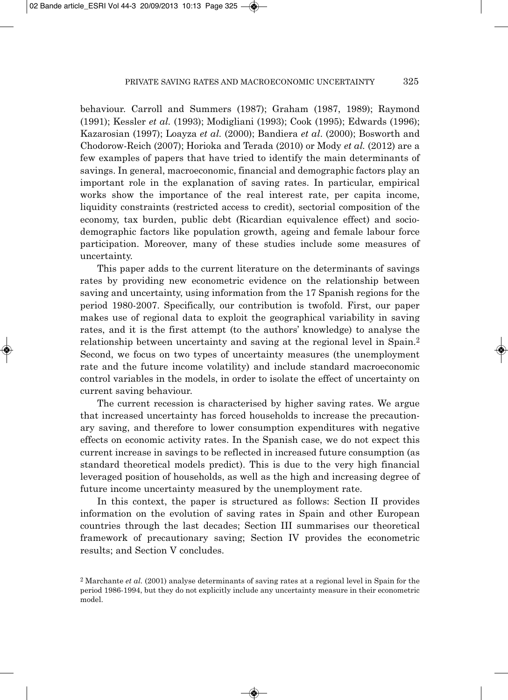behaviour. Carroll and Summers (1987); Graham (1987, 1989); Raymond (1991); Kessler *et al.* (1993); Modigliani (1993); Cook (1995); Edwards (1996); Kazarosian (1997); Loayza *et al.* (2000); Bandiera *et al*. (2000); Bosworth and Chodorow-Reich (2007); Horioka and Terada (2010) or Mody *et al.* (2012) are a few examples of papers that have tried to identify the main determinants of savings. In general, macroeconomic, financial and demographic factors play an important role in the explanation of saving rates. In particular, empirical works show the importance of the real interest rate, per capita income, liquidity constraints (restricted access to credit), sectorial composition of the economy, tax burden, public debt (Ricardian equivalence effect) and sociodemographic factors like population growth, ageing and female labour force participation. Moreover, many of these studies include some measures of uncertainty.

This paper adds to the current literature on the determinants of savings rates by providing new econometric evidence on the relationship between saving and uncertainty, using information from the 17 Spanish regions for the period 1980-2007. Specifically, our contribution is twofold. First, our paper makes use of regional data to exploit the geographical variability in saving rates, and it is the first attempt (to the authors' knowledge) to analyse the relationship between uncertainty and saving at the regional level in Spain.2 Second, we focus on two types of uncertainty measures (the unemployment rate and the future income volatility) and include standard macroeconomic control variables in the models, in order to isolate the effect of uncertainty on current saving behaviour.

The current recession is characterised by higher saving rates. We argue that increased uncertainty has forced households to increase the precaution ary saving, and therefore to lower consumption expenditures with negative effects on economic activity rates. In the Spanish case, we do not expect this current increase in savings to be reflected in increased future consumption (as standard theoretical models predict). This is due to the very high financial leveraged position of households, as well as the high and increasing degree of future income uncertainty measured by the unemployment rate.

In this context, the paper is structured as follows: Section II provides information on the evolution of saving rates in Spain and other European countries through the last decades; Section III summarises our theoretical framework of precautionary saving; Section IV provides the econometric results; and Section V concludes.

<sup>2</sup> Marchante *et al.* (2001) analyse determinants of saving rates at a regional level in Spain for the period 1986-1994, but they do not explicitly include any uncertainty measure in their econometric model.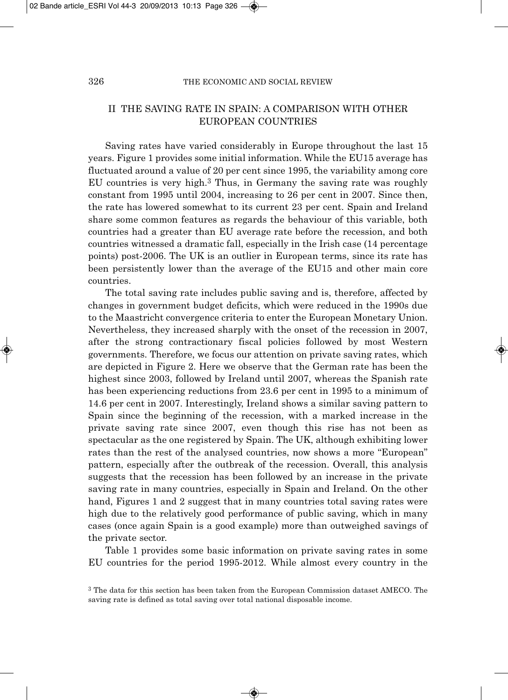#### 326 THE ECONOMIC AND SOCIAL REVIEW

# II THE SAVING RATE IN SPAIN: A COMPARISON WITH OTHER EUROPEAN COUNTRIES

Saving rates have varied considerably in Europe throughout the last 15 years. Figure 1 provides some initial information. While the EU15 average has fluctuated around a value of 20 per cent since 1995, the variability among core EU countries is very high.3 Thus, in Germany the saving rate was roughly constant from 1995 until 2004, increasing to 26 per cent in 2007. Since then, the rate has lowered somewhat to its current 23 per cent. Spain and Ireland share some common features as regards the behaviour of this variable, both countries had a greater than EU average rate before the recession, and both countries witnessed a dramatic fall, especially in the Irish case (14 percentage points) post-2006. The UK is an outlier in European terms, since its rate has been persistently lower than the average of the EU15 and other main core countries.

The total saving rate includes public saving and is, therefore, affected by changes in government budget deficits, which were reduced in the 1990s due to the Maastricht convergence criteria to enter the European Monetary Union. Nevertheless, they increased sharply with the onset of the recession in 2007, after the strong contractionary fiscal policies followed by most Western governments. Therefore, we focus our attention on private saving rates, which are depicted in Figure 2. Here we observe that the German rate has been the highest since 2003, followed by Ireland until 2007, whereas the Spanish rate has been experiencing reductions from 23.6 per cent in 1995 to a minimum of 14.6 per cent in 2007. Interestingly, Ireland shows a similar saving pattern to Spain since the beginning of the recession, with a marked increase in the private saving rate since 2007, even though this rise has not been as spectacular as the one registered by Spain. The UK, although exhibiting lower rates than the rest of the analysed countries, now shows a more "European" pattern, especially after the outbreak of the recession. Overall, this analysis suggests that the recession has been followed by an increase in the private saving rate in many countries, especially in Spain and Ireland. On the other hand, Figures 1 and 2 suggest that in many countries total saving rates were high due to the relatively good performance of public saving, which in many cases (once again Spain is a good example) more than outweighed savings of the private sector.

Table 1 provides some basic information on private saving rates in some EU countries for the period 1995-2012. While almost every country in the

<sup>3</sup> The data for this section has been taken from the European Commission dataset AMECO. The saving rate is defined as total saving over total national disposable income.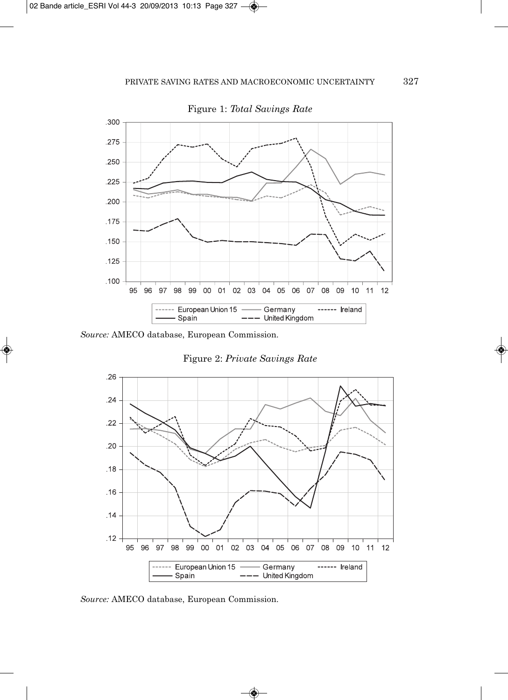

*Source:* AMECO database, European Commission.

Figure 2: *Private Savings Rate*



*Source:* AMECO database, European Commission.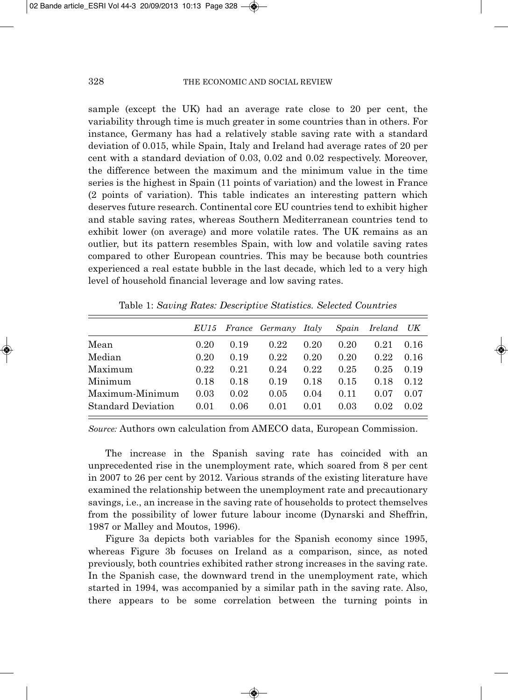sample (except the UK) had an average rate close to 20 per cent, the variability through time is much greater in some countries than in others. For instance, Germany has had a relatively stable saving rate with a standard deviation of 0.015, while Spain, Italy and Ireland had average rates of 20 per cent with a standard deviation of 0.03, 0.02 and 0.02 respectively. Moreover, the difference between the maximum and the minimum value in the time series is the highest in Spain (11 points of variation) and the lowest in France (2 points of variation). This table indicates an interesting pattern which deserves future research. Continental core EU countries tend to exhibit higher and stable saving rates, whereas Southern Mediterranean countries tend to exhibit lower (on average) and more volatile rates. The UK remains as an outlier, but its pattern resembles Spain, with low and volatile saving rates compared to other European countries. This may be because both countries experienced a real estate bubble in the last decade, which led to a very high level of household financial leverage and low saving rates.

| 0.20 | 0.19 | 0.22 | 0.20 | 0.20                      | 0.21 | 0.16             |
|------|------|------|------|---------------------------|------|------------------|
| 0.20 | 0.19 | 0.22 | 0.20 | 0.20                      | 0.22 | 0.16             |
| 0.22 | 0.21 | 0.24 | 0.22 | 0.25                      | 0.25 | 0.19             |
| 0.18 | 0.18 | 0.19 | 0.18 | 0.15                      | 0.18 | 0.12             |
| 0.03 | 0.02 | 0.05 | 0.04 | 0.11                      | 0.07 | 0.07             |
| 0.01 | 0.06 | 0.01 | 0.01 | 0.03                      | 0.02 | 0.02             |
|      |      |      |      | EU15 France Germany Italy |      | Spain Ireland UK |

Table 1: *Saving Rates: Descriptive Statistics. Selected Countries*

*Source:* Authors own calculation from AMECO data, European Commission.

The increase in the Spanish saving rate has coincided with an unprecedented rise in the unemployment rate, which soared from 8 per cent in 2007 to 26 per cent by 2012. Various strands of the existing literature have examined the relationship between the unemployment rate and precautionary savings, i.e., an increase in the saving rate of households to protect themselves from the possibility of lower future labour income (Dynarski and Sheffrin, 1987 or Malley and Moutos, 1996).

Figure 3a depicts both variables for the Spanish economy since 1995, whereas Figure 3b focuses on Ireland as a comparison, since, as noted previously, both countries exhibited rather strong increases in the saving rate. In the Spanish case, the downward trend in the unemployment rate, which started in 1994, was accompanied by a similar path in the saving rate. Also, there appears to be some correlation between the turning points in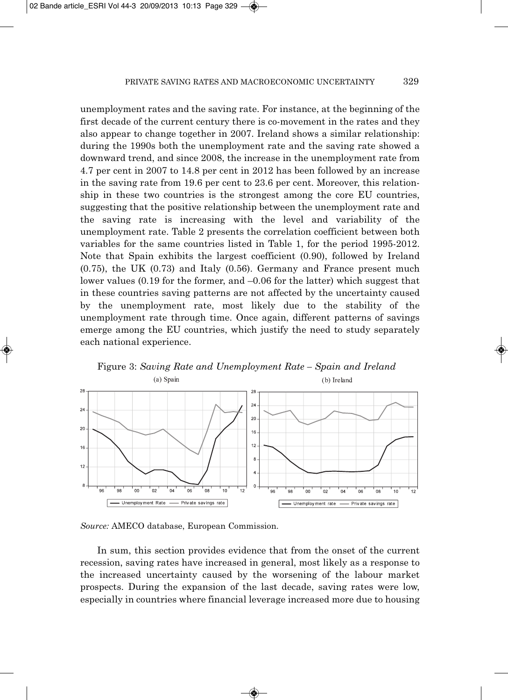unemployment rates and the saving rate. For instance, at the beginning of the first decade of the current century there is co-movement in the rates and they also appear to change together in 2007. Ireland shows a similar relationship: during the 1990s both the unemployment rate and the saving rate showed a downward trend, and since 2008, the increase in the unemployment rate from 4.7 per cent in 2007 to 14.8 per cent in 2012 has been followed by an increase in the saving rate from 19.6 per cent to 23.6 per cent. Moreover, this relationship in these two countries is the strongest among the core EU countries, suggesting that the positive relationship between the unemployment rate and the saving rate is increasing with the level and variability of the unemployment rate. Table 2 presents the correlation coefficient between both variables for the same countries listed in Table 1, for the period 1995-2012. Note that Spain exhibits the largest coefficient (0.90), followed by Ireland (0.75), the UK (0.73) and Italy (0.56). Germany and France present much lower values (0.19 for the former, and –0.06 for the latter) which suggest that in these countries saving patterns are not affected by the uncertainty caused by the unemployment rate, most likely due to the stability of the unemployment rate through time. Once again, different patterns of savings emerge among the EU countries, which justify the need to study separately each national experience.



Figure 3: *Saving Rate and Unemployment Rate – Spain and Ireland*

*Source:* AMECO database, European Commission.

In sum, this section provides evidence that from the onset of the current recession, saving rates have increased in general, most likely as a response to the increased uncertainty caused by the worsening of the labour market prospects. During the expansion of the last decade, saving rates were low, especially in countries where financial leverage increased more due to housing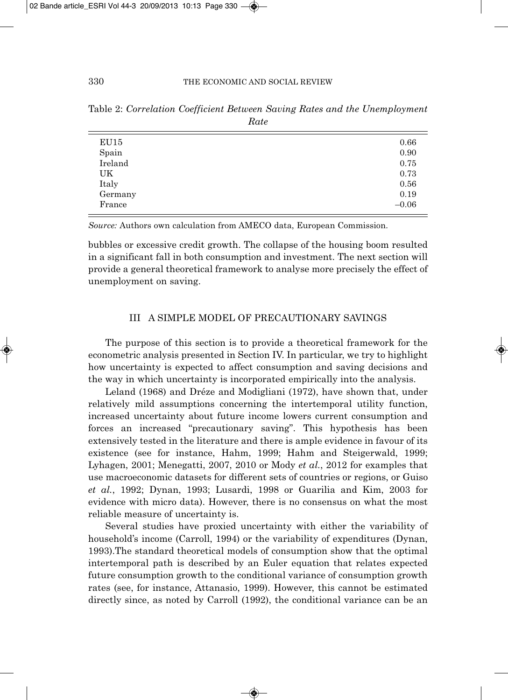| EU15    | 0.66    |
|---------|---------|
| Spain   | 0.90    |
| Ireland | 0.75    |
| UK      | 0.73    |
| Italy   | 0.56    |
| Germany | 0.19    |
| France  | $-0.06$ |
|         |         |

Table 2: *Correlation Coefficient Between Saving Rates and the Unemployment Rate*

*Source:* Authors own calculation from AMECO data, European Commission.

bubbles or excessive credit growth. The collapse of the housing boom resulted in a significant fall in both consumption and investment. The next section will provide a general theoretical framework to analyse more precisely the effect of unemployment on saving.

#### III A SIMPLE MODEL OF PRECAUTIONARY SAVINGS

The purpose of this section is to provide a theoretical framework for the econometric analysis presented in Section IV. In particular, we try to highlight how uncertainty is expected to affect consumption and saving decisions and the way in which uncertainty is incorporated empirically into the analysis.

Leland (1968) and Dréze and Modigliani (1972), have shown that, under relatively mild assumptions concerning the intertemporal utility function, increased uncertainty about future income lowers current consumption and forces an increased "precautionary saving". This hypothesis has been extensively tested in the literature and there is ample evidence in favour of its existence (see for instance, Hahm, 1999; Hahm and Steigerwald, 1999; Lyhagen, 2001; Menegatti, 2007, 2010 or Mody *et al.*, 2012 for examples that use macroeconomic datasets for different sets of countries or regions, or Guiso *et al.*, 1992; Dynan, 1993; Lusardi, 1998 or Guarilia and Kim, 2003 for evidence with micro data). However, there is no consensus on what the most reliable measure of uncertainty is.

Several studies have proxied uncertainty with either the variability of household's income (Carroll, 1994) or the variability of expenditures (Dynan, 1993).The standard theoretical models of consumption show that the optimal intertemporal path is described by an Euler equation that relates expected future consumption growth to the conditional variance of consumption growth rates (see, for instance, Attanasio, 1999). However, this cannot be estimated directly since, as noted by Carroll (1992), the conditional variance can be an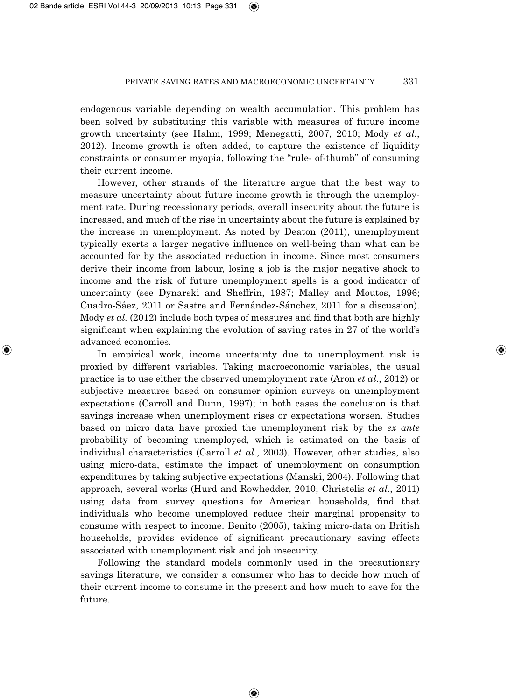endogenous variable depending on wealth accumulation. This problem has been solved by substituting this variable with measures of future income growth uncertainty (see Hahm, 1999; Menegatti, 2007, 2010; Mody *et al.*, 2012). Income growth is often added, to capture the existence of liquidity constraints or consumer myopia, following the "rule- of-thumb" of consuming their current income.

However, other strands of the literature argue that the best way to measure uncertainty about future income growth is through the unemployment rate. During recessionary periods, overall insecurity about the future is increased, and much of the rise in uncertainty about the future is explained by the increase in unemployment. As noted by Deaton (2011), unemployment typically exerts a larger negative influence on well-being than what can be accounted for by the associated reduction in income. Since most consumers derive their income from labour, losing a job is the major negative shock to income and the risk of future unemployment spells is a good indicator of uncertainty (see Dynarski and Sheffrin, 1987; Malley and Moutos, 1996; Cuadro-Sáez, 2011 or Sastre and Fernández-Sánchez, 2011 for a discussion). Mody *et al.* (2012) include both types of measures and find that both are highly significant when explaining the evolution of saving rates in 27 of the world's advanced economies.

In empirical work, income uncertainty due to unemployment risk is proxied by different variables. Taking macroeconomic variables, the usual practice is to use either the observed unemployment rate (Aron *et al*., 2012) or subjective measures based on consumer opinion surveys on unemployment expectations (Carroll and Dunn, 1997); in both cases the conclusion is that savings increase when unemployment rises or expectations worsen. Studies based on micro data have proxied the unemployment risk by the *ex ante* probability of becoming unemployed, which is estimated on the basis of individual characteristics (Carroll *et al*., 2003). However, other studies, also using micro-data, estimate the impact of unemployment on consumption expenditures by taking subjective expectations (Manski, 2004). Following that approach, several works (Hurd and Rowhedder, 2010; Christelis *et al.*, 2011) using data from survey questions for American households, find that individuals who become unemployed reduce their marginal propensity to consume with respect to income. Benito (2005), taking micro-data on British households, provides evidence of significant precautionary saving effects associated with unemployment risk and job insecurity.

Following the standard models commonly used in the precautionary savings literature, we consider a consumer who has to decide how much of their current income to consume in the present and how much to save for the future.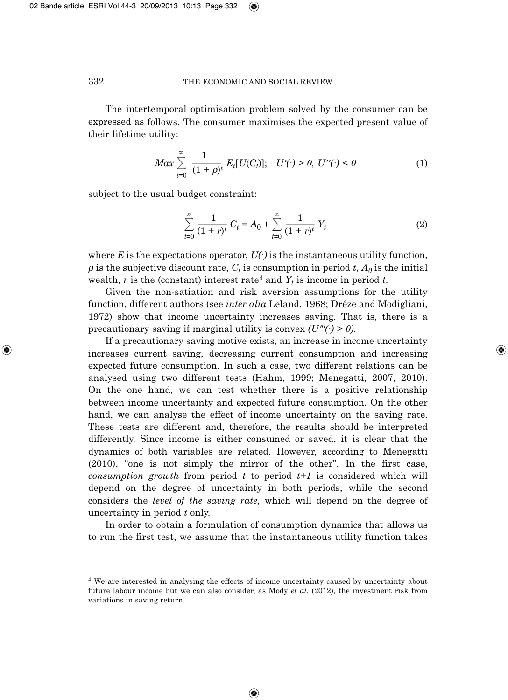The intertemporal optimisation problem solved by the consumer can be expressed as follows. The consumer maximises the expected present value of their lifetime utility:

$$
Max \sum_{t=0}^{\infty} \frac{1}{(1+\rho)^t} E_t[U(C_t)]; \quad U'(\cdot) > 0, \ U''(\cdot) < 0 \tag{1}
$$

subject to the usual budget constraint:

$$
\sum_{t=0}^{\infty} \frac{1}{(1+r)^t} C_t = A_0 + \sum_{t=0}^{\infty} \frac{1}{(1+r)^t} Y_t
$$
 (2)

where  $E$  is the expectations operator,  $U(\cdot)$  is the instantaneous utility function,  $\rho$  is the subjective discount rate,  $C_t$  is consumption in period  $t$ ,  $A_0$  is the initial wealth,  $r$  is the (constant) interest rate<sup>4</sup> and  $Y_t$  is income in period  $t$ .

Given the non-satiation and risk aversion assumptions for the utility function, different authors (see *inter alia* Leland, 1968; Dréze and Modigliani, 1972) show that income uncertainty increases saving. That is, there is a precautionary saving if marginal utility is convex  $(U''(·) > 0)$ .

If a precautionary saving motive exists, an increase in income uncertainty increases current saving, decreasing current consumption and increasing expected future consumption. In such a case, two different relations can be analysed using two different tests (Hahm, 1999; Menegatti, 2007, 2010). On the one hand, we can test whether there is a positive relationship between income uncertainty and expected future consumption. On the other hand, we can analyse the effect of income uncertainty on the saving rate. These tests are different and, therefore, the results should be interpreted differently. Since income is either consumed or saved, it is clear that the dynamics of both variables are related. However, according to Menegatti (2010), "one is not simply the mirror of the other". In the first case, *consumption growth* from period *t* to period *t+1* is considered which will depend on the degree of uncertainty in both periods, while the second considers the *level of the saving rate*, which will depend on the degree of uncertainty in period *t* only.

In order to obtain a formulation of consumption dynamics that allows us to run the first test, we assume that the instantaneous utility function takes

<sup>4</sup> We are interested in analysing the effects of income uncertainty caused by uncertainty about future labour income but we can also consider, as Mody *et al.* (2012), the investment risk from variations in saving return.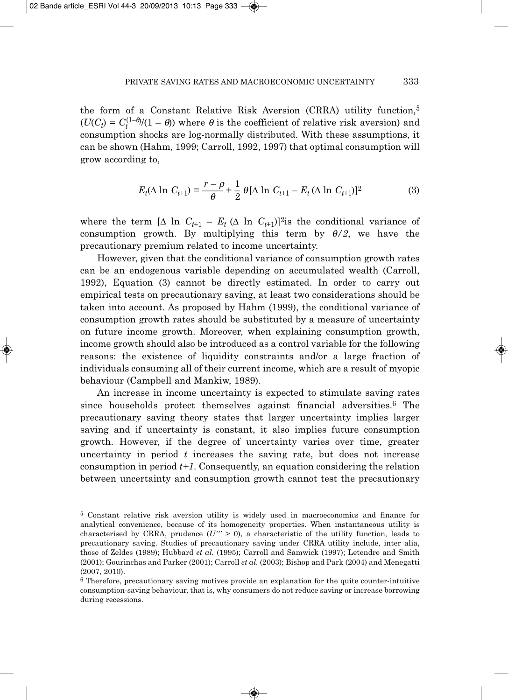the form of a Constant Relative Risk Aversion (CRRA) utility function,5  $(U(C_t) = C_t^{(1-\theta)/(1-\theta)})$  where  $\theta$  is the coefficient of relative risk aversion) and consumption shocks are log-normally distributed. With these assumptions, it can be shown (Hahm, 1999; Carroll, 1992, 1997) that optimal consumption will grow according to,

$$
E_t(\Delta \ln C_{t+1}) = \frac{r - \rho}{\theta} + \frac{1}{2} \theta [\Delta \ln C_{t+1} - E_t (\Delta \ln C_{t+1})]^2
$$
 (3)

where the term  $[\Delta \ln C_{t+1} - E_t (\Delta \ln C_{t+1})]^2$  is the conditional variance of consumption growth. By multiplying this term by  $\theta/2$ , we have the precautionary premium related to income uncertainty.

However, given that the conditional variance of consumption growth rates can be an endogenous variable depending on accumulated wealth (Carroll, 1992), Equation (3) cannot be directly estimated. In order to carry out empirical tests on precautionary saving, at least two considerations should be taken into account. As proposed by Hahm (1999), the conditional variance of consumption growth rates should be substituted by a measure of uncertainty on future income growth. Moreover, when explaining consumption growth, income growth should also be introduced as a control variable for the following reasons: the existence of liquidity constraints and/or a large fraction of individuals consuming all of their current income, which are a result of myopic behaviour (Campbell and Mankiw, 1989).

An increase in income uncertainty is expected to stimulate saving rates since households protect themselves against financial adversities.6 The precautionary saving theory states that larger uncertainty implies larger saving and if uncertainty is constant, it also implies future consumption growth. However, if the degree of uncertainty varies over time, greater uncertainty in period *t* increases the saving rate, but does not increase consumption in period *t+1*. Consequently, an equation considering the relation between uncertainty and consumption growth cannot test the precautionary

<sup>5</sup> Constant relative risk aversion utility is widely used in macroeconomics and finance for analytical convenience, because of its homogeneity properties. When instantaneous utility is characterised by CRRA, prudence  $(U'' > 0)$ , a characteristic of the utility function, leads to precautionary saving. Studies of precautionary saving under CRRA utility include, inter alia, those of Zeldes (1989); Hubbard *et al.* (1995); Carroll and Samwick (1997); Letendre and Smith (2001); Gourinchas and Parker (2001); Carroll *et al.* (2003); Bishop and Park (2004) and Menegatti (2007, 2010).

<sup>6</sup> Therefore, precautionary saving motives provide an explanation for the quite counter-intuitive consumption-saving behaviour, that is, why consumers do not reduce saving or increase borrowing during recessions.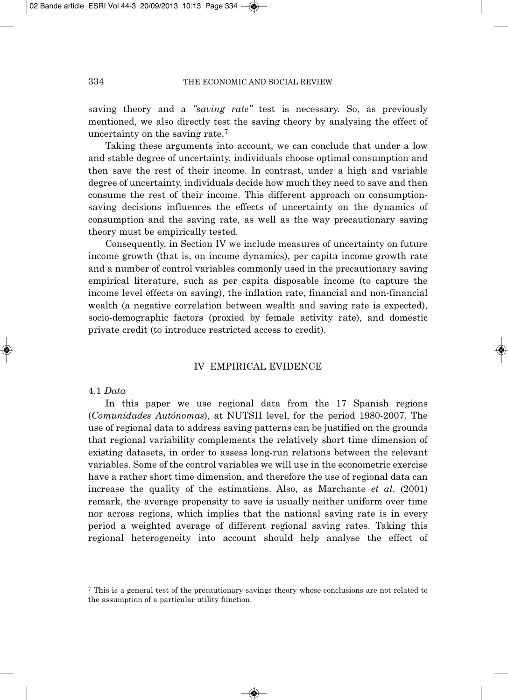saving theory and a *"saving rate"* test is necessary. So, as previously mentioned, we also directly test the saving theory by analysing the effect of uncertainty on the saving rate.7

Taking these arguments into account, we can conclude that under a low and stable degree of uncertainty, individuals choose optimal consumption and then save the rest of their income. In contrast, under a high and variable degree of uncertainty, individuals decide how much they need to save and then consume the rest of their income. This different approach on consumptionsaving decisions influences the effects of uncertainty on the dynamics of consumption and the saving rate, as well as the way precautionary saving theory must be empirically tested.

Consequently, in Section IV we include measures of uncertainty on future income growth (that is, on income dynamics), per capita income growth rate and a number of control variables commonly used in the precautionary saving empirical literature, such as per capita disposable income (to capture the income level effects on saving), the inflation rate, financial and non-financial wealth (a negative correlation between wealth and saving rate is expected), socio-demographic factors (proxied by female activity rate), and domestic private credit (to introduce restricted access to credit).

## IV EMPIRICAL EVIDENCE

#### 4.1 *Data*

In this paper we use regional data from the 17 Spanish regions (*Comunidades Autónomas*), at NUTSII level, for the period 1980-2007. The use of regional data to address saving patterns can be justified on the grounds that regional variability complements the relatively short time dimension of existing datasets, in order to assess long-run relations between the relevant variables. Some of the control variables we will use in the econometric exercise have a rather short time dimension, and therefore the use of regional data can increase the quality of the estimations. Also, as Marchante *et al*. (2001) remark, the average propensity to save is usually neither uniform over time nor across regions, which implies that the national saving rate is in every period a weighted average of different regional saving rates. Taking this regional heterogeneity into account should help analyse the effect of

<sup>7</sup> This is a general test of the precautionary savings theory whose conclusions are not related to the assumption of a particular utility function.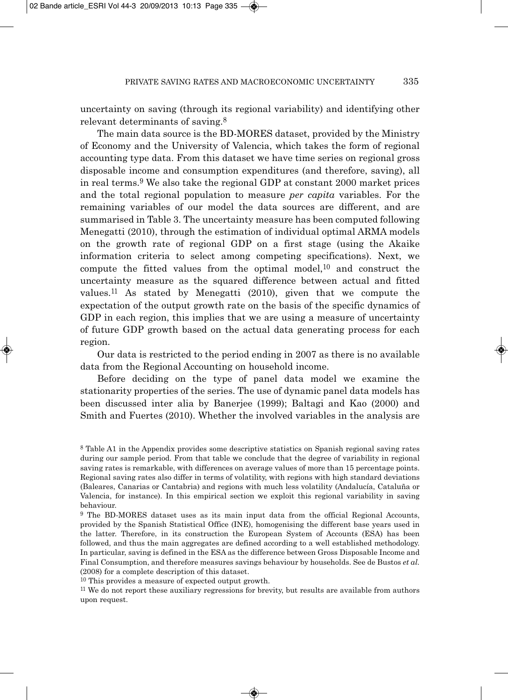uncertainty on saving (through its regional variability) and identifying other relevant determinants of saving.8

The main data source is the BD-MORES dataset, provided by the Ministry of Economy and the University of Valencia, which takes the form of regional accounting type data. From this dataset we have time series on regional gross disposable income and consumption expenditures (and therefore, saving), all in real terms.9 We also take the regional GDP at constant 2000 market prices and the total regional population to measure *per capita* variables. For the remaining variables of our model the data sources are different, and are summarised in Table 3. The uncertainty measure has been computed following Menegatti (2010), through the estimation of individual optimal ARMA models on the growth rate of regional GDP on a first stage (using the Akaike information criteria to select among competing specifications). Next, we compute the fitted values from the optimal model, $10$  and construct the uncertainty measure as the squared difference between actual and fitted values.11 As stated by Menegatti (2010), given that we compute the expectation of the output growth rate on the basis of the specific dynamics of GDP in each region, this implies that we are using a measure of uncertainty of future GDP growth based on the actual data generating process for each region.

Our data is restricted to the period ending in 2007 as there is no available data from the Regional Accounting on household income.

Before deciding on the type of panel data model we examine the stationarity properties of the series. The use of dynamic panel data models has been discussed inter alia by Banerjee (1999); Baltagi and Kao (2000) and Smith and Fuertes (2010). Whether the involved variables in the analysis are

<sup>10</sup> This provides a measure of expected output growth.

<sup>11</sup> We do not report these auxiliary regressions for brevity, but results are available from authors upon request.

<sup>8</sup> Table A1 in the Appendix provides some descriptive statistics on Spanish regional saving rates during our sample period. From that table we conclude that the degree of variability in regional saving rates is remarkable, with differences on average values of more than 15 percentage points. Regional saving rates also differ in terms of volatility, with regions with high standard deviations (Baleares, Canarias or Cantabria) and regions with much less volatility (Andalucía, Cataluña or Valencia, for instance). In this empirical section we exploit this regional variability in saving behaviour.

<sup>9</sup> The BD-MORES dataset uses as its main input data from the official Regional Accounts, provided by the Spanish Statistical Office (INE), homogenising the different base years used in the latter. Therefore, in its construction the European System of Accounts (ESA) has been followed, and thus the main aggregates are defined according to a well established methodology. In particular, saving is defined in the ESA as the difference between Gross Disposable Income and Final Consumption, and therefore measures savings behaviour by households. See de Bustos *et al.* (2008) for a complete description of this dataset.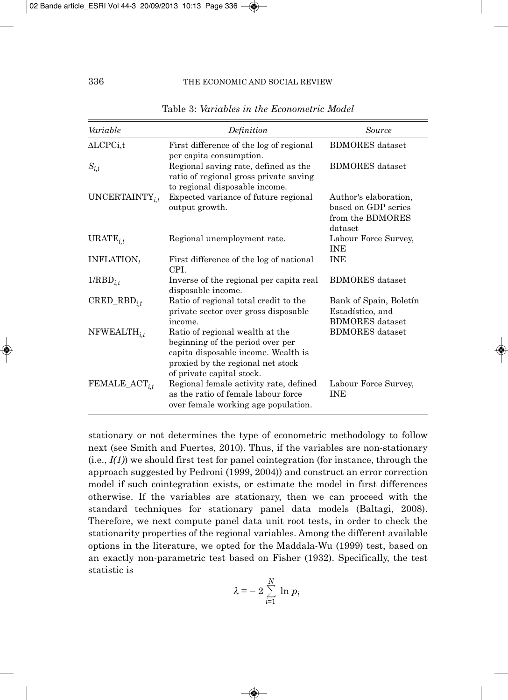| Variable                    | Definition                                                                                                                                                                   | Source                                                                      |
|-----------------------------|------------------------------------------------------------------------------------------------------------------------------------------------------------------------------|-----------------------------------------------------------------------------|
| $\triangle LCPC$ i,t        | First difference of the log of regional<br>per capita consumption.                                                                                                           | <b>BDMORES</b> dataset                                                      |
| $S_{i,t}$                   | Regional saving rate, defined as the<br>ratio of regional gross private saving<br>to regional disposable income.                                                             | <b>BDMORES</b> dataset                                                      |
| UNCERTAINTY $_{i,t}$        | Expected variance of future regional<br>output growth.                                                                                                                       | Author's elaboration,<br>based on GDP series<br>from the BDMORES<br>dataset |
| URAT $E_{i,t}$              | Regional unemployment rate.                                                                                                                                                  | Labour Force Survey,<br><b>INE</b>                                          |
| INFLATION,                  | First difference of the log of national<br>CPL.                                                                                                                              | <b>INE</b>                                                                  |
| $1/RBD_{i.t}$               | Inverse of the regional per capita real<br>disposable income.                                                                                                                | <b>BDMORES</b> dataset                                                      |
| $CRED\_RBD_{i.t}$           | Ratio of regional total credit to the<br>private sector over gross disposable<br>income.                                                                                     | Bank of Spain, Boletín<br>Estadístico, and<br><b>BDMORES</b> dataset        |
| $NFWEALTH_{i,t}$            | Ratio of regional wealth at the<br>beginning of the period over per<br>capita disposable income. Wealth is<br>proxied by the regional net stock<br>of private capital stock. | <b>BDMORES</b> dataset                                                      |
| $FEMALE\_ACT$ <sub>it</sub> | Regional female activity rate, defined<br>as the ratio of female labour force<br>over female working age population.                                                         | Labour Force Survey.<br><b>INE</b>                                          |

Table 3: *Variables in the Econometric Model*

stationary or not determines the type of econometric methodology to follow next (see Smith and Fuertes, 2010). Thus, if the variables are non-stationary  $(i.e., I(1))$  we should first test for panel cointegration (for instance, through the approach suggested by Pedroni (1999, 2004)) and construct an error correction model if such cointegration exists, or estimate the model in first differences otherwise. If the variables are stationary, then we can proceed with the standard techniques for stationary panel data models (Baltagi, 2008). Therefore, we next compute panel data unit root tests, in order to check the stationarity properties of the regional variables. Among the different available options in the literature, we opted for the Maddala-Wu (1999) test, based on an exactly non-parametric test based on Fisher (1932). Specifically, the test statistic is

$$
\lambda = -2 \sum_{i=1}^{N} \ln p_i
$$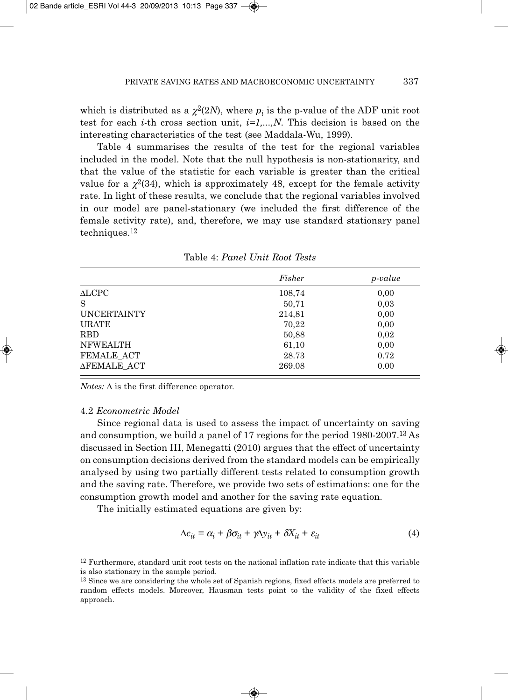which is distributed as a  $\chi^2(2N)$ , where  $p_i$  is the p-value of the ADF unit root test for each *i*-th cross section unit, *i=1,...,N*. This decision is based on the interesting characteristics of the test (see Maddala-Wu, 1999).

Table 4 summarises the results of the test for the regional variables included in the model. Note that the null hypothesis is non-stationarity, and that the value of the statistic for each variable is greater than the critical value for a  $\chi^2(34)$ , which is approximately 48, except for the female activity rate. In light of these results, we conclude that the regional variables involved in our model are panel-stationary (we included the first difference of the female activity rate), and, therefore, we may use standard stationary panel techniques.12

|                    | Fisher | <i>p</i> -value |
|--------------------|--------|-----------------|
| ALCPC              | 108,74 | 0,00            |
| S                  | 50,71  | 0,03            |
| <b>UNCERTAINTY</b> | 214,81 | 0,00            |
| <b>URATE</b>       | 70,22  | 0,00            |
| <b>RBD</b>         | 50,88  | 0,02            |
| <b>NFWEALTH</b>    | 61,10  | 0,00            |
| FEMALE ACT         | 28.73  | 0.72            |
| <b>AFEMALE ACT</b> | 269.08 | 0.00            |
|                    |        |                 |

Table 4: *Panel Unit Root Tests*

*Notes:* Δ is the first difference operator.

#### 4.2 *Econometric Model*

Since regional data is used to assess the impact of uncertainty on saving and consumption, we build a panel of 17 regions for the period 1980-2007.13 As discussed in Section III, Menegatti (2010) argues that the effect of uncertainty on consumption decisions derived from the standard models can be empirically analysed by using two partially different tests related to consumption growth and the saving rate. Therefore, we provide two sets of estimations: one for the consumption growth model and another for the saving rate equation.

The initially estimated equations are given by:

$$
\Delta c_{it} = \alpha_i + \beta \sigma_{it} + \gamma \Delta y_{it} + \delta X_{it} + \varepsilon_{it}
$$
\n(4)

<sup>13</sup> Since we are considering the whole set of Spanish regions, fixed effects models are preferred to random effects models. Moreover, Hausman tests point to the validity of the fixed effects approach.

 $12$  Furthermore, standard unit root tests on the national inflation rate indicate that this variable is also stationary in the sample period.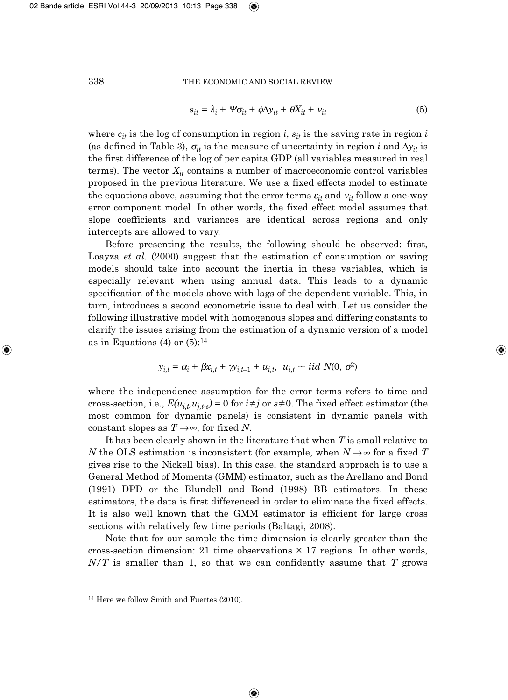$$
s_{it} = \lambda_i + \Psi \sigma_{it} + \phi \Delta y_{it} + \theta X_{it} + v_{it}
$$
 (5)

where  $c_{it}$  is the log of consumption in region *i*,  $s_{it}$  is the saving rate in region *i* (as defined in Table 3),  $\sigma_{it}$  is the measure of uncertainty in region *i* and  $\Delta y_{it}$  is the first difference of the log of per capita GDP (all variables measured in real terms). The vector  $X_{it}$  contains a number of macroeconomic control variables proposed in the previous literature. We use a fixed effects model to estimate the equations above, assuming that the error terms  $\varepsilon_{it}$  and  $v_{it}$  follow a one-way error component model. In other words, the fixed effect model assumes that slope coefficients and variances are identical across regions and only intercepts are allowed to vary.

Before presenting the results, the following should be observed: first, Loayza *et al.* (2000) suggest that the estimation of consumption or saving models should take into account the inertia in these variables, which is especially relevant when using annual data. This leads to a dynamic specification of the models above with lags of the dependent variable. This, in turn, introduces a second econometric issue to deal with. Let us consider the following illustrative model with homogenous slopes and differing constants to clarify the issues arising from the estimation of a dynamic version of a model as in Equations (4) or  $(5)$ :<sup>14</sup>

$$
y_{i,t} = \alpha_i + \beta x_{i,t} + \gamma y_{i,t-1} + u_{i,t}, \quad u_{i,t} \sim \text{iid } N(0, \sigma^2)
$$

where the independence assumption for the error terms refers to time and cross-section, i.e.,  $E(u_{i,t},u_{i,t,s}) = 0$  for  $i \neq j$  or  $s \neq 0$ . The fixed effect estimator (the most common for dynamic panels) is consistent in dynamic panels with constant slopes as  $T \rightarrow \infty$ , for fixed *N*.

It has been clearly shown in the literature that when *T* is small relative to *N* the OLS estimation is inconsistent (for example, when  $N \rightarrow \infty$  for a fixed *T* gives rise to the Nickell bias). In this case, the standard approach is to use a General Method of Moments (GMM) estimator, such as the Arellano and Bond (1991) DPD or the Blundell and Bond (1998) BB estimators. In these estimators, the data is first differenced in order to eliminate the fixed effects. It is also well known that the GMM estimator is efficient for large cross sections with relatively few time periods (Baltagi, 2008).

Note that for our sample the time dimension is clearly greater than the cross-section dimension: 21 time observations  $\times$  17 regions. In other words, *N/T* is smaller than 1, so that we can confidently assume that *T* grows

<sup>14</sup> Here we follow Smith and Fuertes (2010).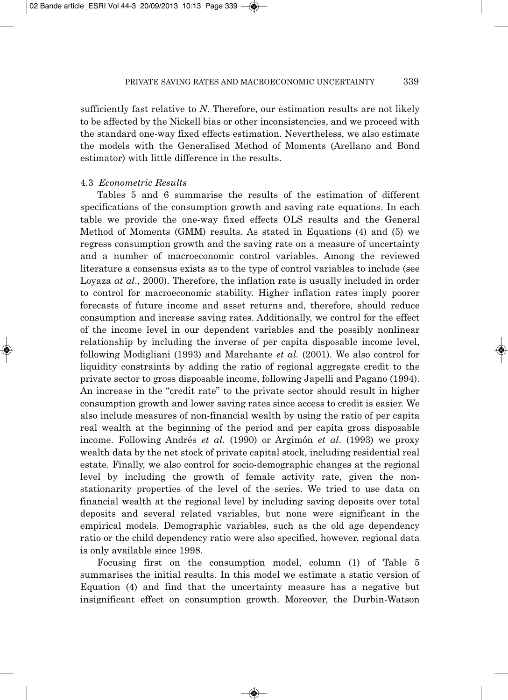sufficiently fast relative to *N*. Therefore, our estimation results are not likely to be affected by the Nickell bias or other inconsistencies, and we proceed with the standard one-way fixed effects estimation. Nevertheless, we also estimate the models with the Generalised Method of Moments (Arellano and Bond estimator) with little difference in the results.

#### 4.3 *Econometric Results*

Tables 5 and 6 summarise the results of the estimation of different specifications of the consumption growth and saving rate equations. In each table we provide the one-way fixed effects OLS results and the General Method of Moments (GMM) results. As stated in Equations (4) and (5) we regress consumption growth and the saving rate on a measure of uncertainty and a number of macroeconomic control variables. Among the reviewed literature a consensus exists as to the type of control variables to include (see Loyaza *at al*., 2000). Therefore, the inflation rate is usually included in order to control for macroeconomic stability. Higher inflation rates imply poorer forecasts of future income and asset returns and, therefore, should reduce consumption and increase saving rates. Additionally, we control for the effect of the income level in our dependent variables and the possibly nonlinear relationship by including the inverse of per capita disposable income level, following Modigliani (1993) and Marchante *et al.* (2001). We also control for liquidity constraints by adding the ratio of regional aggregate credit to the private sector to gross disposable income, following Japelli and Pagano (1994). An increase in the "credit rate" to the private sector should result in higher consumption growth and lower saving rates since access to credit is easier. We also include measures of non-financial wealth by using the ratio of per capita real wealth at the beginning of the period and per capita gross disposable income. Following Andrés *et al.* (1990) or Argimón *et al*. (1993) we proxy wealth data by the net stock of private capital stock, including residential real estate. Finally, we also control for socio-demographic changes at the regional level by including the growth of female activity rate, given the nonstationarity properties of the level of the series. We tried to use data on financial wealth at the regional level by including saving deposits over total deposits and several related variables, but none were significant in the empirical models. Demographic variables, such as the old age dependency ratio or the child dependency ratio were also specified, however, regional data is only available since 1998.

Focusing first on the consumption model, column (1) of Table 5 summarises the initial results. In this model we estimate a static version of Equation (4) and find that the uncertainty measure has a negative but insignificant effect on consumption growth. Moreover, the Durbin-Watson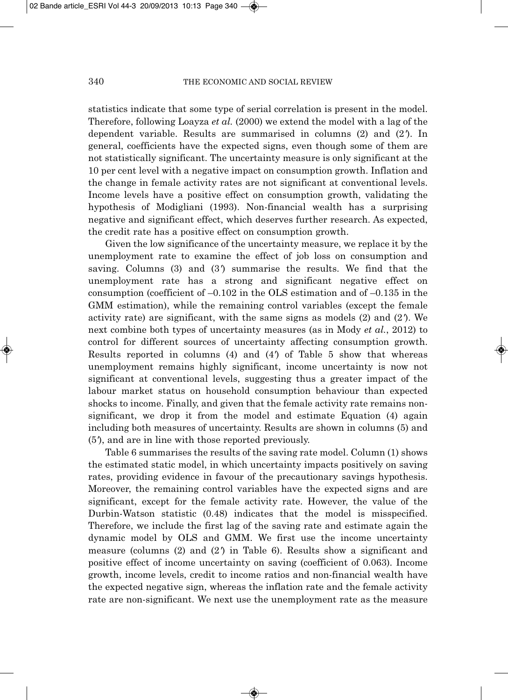statistics indicate that some type of serial correlation is present in the model. Therefore, following Loayza *et al.* (2000) we extend the model with a lag of the dependent variable. Results are summarised in columns (2) and (2*'*). In general, coefficients have the expected signs, even though some of them are not statistically significant. The uncertainty measure is only significant at the 10 per cent level with a negative impact on consumption growth. Inflation and the change in female activity rates are not significant at conventional levels. Income levels have a positive effect on consumption growth, validating the hypothesis of Modigliani (1993). Non-financial wealth has a surprising negative and significant effect, which deserves further research. As expected, the credit rate has a positive effect on consumption growth.

Given the low significance of the uncertainty measure, we replace it by the unemployment rate to examine the effect of job loss on consumption and saving. Columns (3) and (3*'*) summarise the results. We find that the unemployment rate has a strong and significant negative effect on consumption (coefficient of –0.102 in the OLS estimation and of –0.135 in the GMM estimation), while the remaining control variables (except the female activity rate) are significant, with the same signs as models (2) and (2*'*). We next combine both types of uncertainty measures (as in Mody *et al.*, 2012) to control for different sources of uncertainty affecting consumption growth. Results reported in columns (4) and (4*'*) of Table 5 show that whereas unemployment remains highly significant, income uncertainty is now not significant at conventional levels, suggesting thus a greater impact of the labour market status on household consumption behaviour than expected shocks to income. Finally, and given that the female activity rate remains nonsignificant, we drop it from the model and estimate Equation (4) again including both measures of uncertainty. Results are shown in columns (5) and (5*'*), and are in line with those reported previously.

Table 6 summarises the results of the saving rate model. Column (1) shows the estimated static model, in which uncertainty impacts positively on saving rates, providing evidence in favour of the precautionary savings hypothesis. Moreover, the remaining control variables have the expected signs and are significant, except for the female activity rate. However, the value of the Durbin-Watson statistic (0.48) indicates that the model is misspecified. Therefore, we include the first lag of the saving rate and estimate again the dynamic model by OLS and GMM. We first use the income uncertainty measure (columns (2) and (2*'*) in Table 6). Results show a significant and positive effect of income uncertainty on saving (coefficient of 0.063). Income growth, income levels, credit to income ratios and non-financial wealth have the expected negative sign, whereas the inflation rate and the female activity rate are non-significant. We next use the unemployment rate as the measure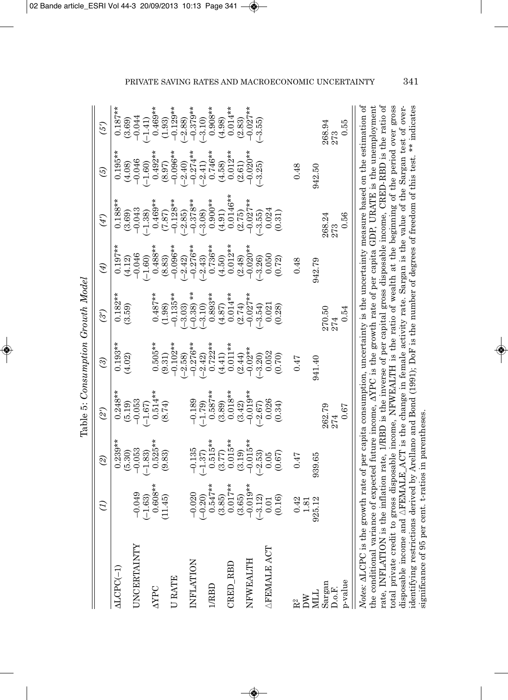|                                                                                                                                                                                               |                                             |                                                                                                                    | Table 5: Consumption Growth Model                                                                                                                                                                                                                                                                                              |                                                   |                        |                                                   |                         |                         |                                                   |
|-----------------------------------------------------------------------------------------------------------------------------------------------------------------------------------------------|---------------------------------------------|--------------------------------------------------------------------------------------------------------------------|--------------------------------------------------------------------------------------------------------------------------------------------------------------------------------------------------------------------------------------------------------------------------------------------------------------------------------|---------------------------------------------------|------------------------|---------------------------------------------------|-------------------------|-------------------------|---------------------------------------------------|
|                                                                                                                                                                                               | E                                           | $\mathfrak{D}% _{T}=\mathfrak{D}_{T}\!\left( a,b\right) ,\ \mathfrak{D}_{T}=\mathfrak{D}_{T}\!\left( a,b\right) ,$ | (2)                                                                                                                                                                                                                                                                                                                            | $\circledS$                                       | $\binom{3'}{3}$        | $\bigcirc$                                        | $\binom{4}{}$           | $\mathcal{G})$          | (5')                                              |
| $ALCPC(-1)$                                                                                                                                                                                   |                                             | $0.239*$                                                                                                           | $0.248**$                                                                                                                                                                                                                                                                                                                      | $0.193**$                                         | $0.182**$              | $0.197*$                                          | $0.188**$               | $0.195**$               | $0.187**$                                         |
| UNCERTAINTY                                                                                                                                                                                   | $-0.049$                                    | $-0.053$<br>(5.30)                                                                                                 | $-0.053$<br>(5.19)                                                                                                                                                                                                                                                                                                             | (4.02)                                            | (3.59)                 | $-0.046$<br>(4.12)                                | $(3.69)$<br>-0.043      | $-0.046$<br>(4.08)      | $(3.69)$<br>-0.044                                |
|                                                                                                                                                                                               | $(-1.63)$<br>0.608**                        | $(-1.83)$<br>0.525**                                                                                               | $(-1.67)$<br>0.514**                                                                                                                                                                                                                                                                                                           |                                                   |                        | $(-1.60)$                                         | $(-1.38)$               | $(-1.60)$               | $\begin{array}{c} (-1.41) \\ 0.469** \end{array}$ |
| $\Delta \text{YPC}$                                                                                                                                                                           | (11.45)                                     | (9.83)                                                                                                             | (8.74)                                                                                                                                                                                                                                                                                                                         | $0.505**$<br>(9.31)                               | $0.487**$<br>(1.98)    | $0.488**$                                         | (7.87)                  | $0.492**$<br>(8.97)     | (1.93)                                            |
| <b>URATE</b>                                                                                                                                                                                  |                                             |                                                                                                                    |                                                                                                                                                                                                                                                                                                                                | $-0.102**$                                        | $-0.135**$             | $(8.83)$<br>$-0.096**$<br>$(-2.42)$<br>$-0.276**$ | $-0.128**$              | $-0.096**$              | $-0.129**$                                        |
|                                                                                                                                                                                               |                                             |                                                                                                                    |                                                                                                                                                                                                                                                                                                                                | $(-2.58)$                                         | $(-3.03)$              |                                                   | $(-2.85)$               | $(-2.40)$               | $(-2.88)$                                         |
| <b>INFLATION</b>                                                                                                                                                                              |                                             | $-0.135$                                                                                                           | $-0.189$<br>$(-1.79)$                                                                                                                                                                                                                                                                                                          | $-0.276**$                                        | $-0.38$ ) **           | $(-2.43)$                                         | $-0.378**$<br>$(-3.08)$ | $-0.274**$<br>$(-2.41)$ | $-0.379**$                                        |
| 1/RBD                                                                                                                                                                                         | $-0.020$<br>$(-0.20)$<br>$0.547**$          | $\begin{array}{c} (-1.37) \\ 0.515** \end{array}$                                                                  | $0.587**$                                                                                                                                                                                                                                                                                                                      | $\begin{array}{c} (-2.42) \\ 0.722** \end{array}$ | $0.893**$<br>$(-3.10)$ | $0.736**$                                         | $0.900**$               | $0.746**$               | $0.908**$<br>$(-3.10)$                            |
|                                                                                                                                                                                               | (3.85)                                      | (3.77)                                                                                                             | (3.89)                                                                                                                                                                                                                                                                                                                         | (4.41)                                            | (4.87)                 | (4.50)                                            | (4.91)                  | (4.58)                  | (4.98)                                            |
| CRED_RBD                                                                                                                                                                                      | $0.017**$                                   | $0.015**$                                                                                                          | $0.018**$                                                                                                                                                                                                                                                                                                                      | $0.011**$                                         | $0.014**$              | $0.012**$                                         | $0.0146**$              | $0.012**$               | $0.014**$                                         |
|                                                                                                                                                                                               | $(3.65)$<br>-0.019**                        | $(3.19)$<br>$-0.015**$                                                                                             | $(3.42)$<br>-0.019**                                                                                                                                                                                                                                                                                                           | $(2.44)$<br>-0.02**                               | (2.74)                 | (2.48)                                            | (2.75)                  | (2.61)                  | (2.83)                                            |
| NFWEALTH                                                                                                                                                                                      |                                             |                                                                                                                    |                                                                                                                                                                                                                                                                                                                                |                                                   | $-0.027**$             | $-0.020**$                                        | $-0.027**$              | $-0.020**$              | $-0.027**$                                        |
|                                                                                                                                                                                               | $-3.12$                                     | $(-2.53)$<br>0.05                                                                                                  | $(-2.67)$<br>0.026                                                                                                                                                                                                                                                                                                             | $(-3.20)$                                         | $(-3.54)$              | $\begin{array}{c} (-3.26) \\ 0.050 \end{array}$   | $(-3.55)$               | $(-3.25)$               | $(-3.55)$                                         |
| <b>AFEMALE ACT</b>                                                                                                                                                                            | $\begin{array}{c} 0.01 \\ 0.16 \end{array}$ |                                                                                                                    |                                                                                                                                                                                                                                                                                                                                | 0.052                                             | 0.021                  |                                                   | 0.024                   |                         |                                                   |
|                                                                                                                                                                                               |                                             | (0.67)                                                                                                             | (0.34)                                                                                                                                                                                                                                                                                                                         | (0.70)                                            | (0.28)                 | (0.72)                                            | (0.31)                  |                         |                                                   |
|                                                                                                                                                                                               | 0.42                                        | 0.47                                                                                                               |                                                                                                                                                                                                                                                                                                                                | 0.47                                              |                        | 0.48                                              |                         | 0.48                    |                                                   |
| $_{\rm MLL}^{\rm DW}$                                                                                                                                                                         | $\frac{1.81}{925.12}$                       |                                                                                                                    |                                                                                                                                                                                                                                                                                                                                |                                                   |                        |                                                   |                         |                         |                                                   |
|                                                                                                                                                                                               |                                             | 939.65                                                                                                             |                                                                                                                                                                                                                                                                                                                                | 941.40                                            |                        | 942.79                                            |                         | 942.50                  |                                                   |
| $\begin{array}{c} \mathbf{Sargan} \\ \mathbf{D.o.F.} \end{array}$                                                                                                                             |                                             |                                                                                                                    | 262.79                                                                                                                                                                                                                                                                                                                         |                                                   | 270.50                 |                                                   | 268.24                  |                         | 268.94                                            |
|                                                                                                                                                                                               |                                             |                                                                                                                    | 274                                                                                                                                                                                                                                                                                                                            |                                                   | 274                    |                                                   | 273                     |                         | 273                                               |
| p-value                                                                                                                                                                                       |                                             |                                                                                                                    | 0.67                                                                                                                                                                                                                                                                                                                           |                                                   | 0.54                   |                                                   | 0.56                    |                         | 0.55                                              |
| the conditional variance of expected future income, AYPC is the growth rate of per capita GDP, URATE is the unemployment<br>Notes: ALCPC is the<br>rate, INFLATION is<br>total private credit |                                             |                                                                                                                    | growth rate of per capita consumption, uncertainty is the uncertainty measure based on the estimation of<br>the inflation rate, 1/RBD is the inverse of per capital gross disposable income, CRED-RBD is the ratio of<br>to gross disposable income, NFWEALTH is the ratio of wealth at the beginning of the period over gross |                                                   |                        |                                                   |                         |                         |                                                   |

 $\triangle FEMALE\_ACT$  is the change in female activity rate. Sargan is the value of the Sargan test of over-

identifying restrictions derived by Arellano and Bond (1991); DoF is the number of degrees of freedom of this test. \*\* indicates

identifying restrictions derived by Arellano and Bond (1991); DoF is the number of degrees of freedom of this test. \*\* indicates disposable income and  $\triangle FEMALE\_ACT$  is the change in female activity rate. Sargan is the value of the Sargan test of over-

disposable income and

significance of 95 per cent. t-ratios in parentheses.

significance of 95 per cent. t-ratios in parentheses.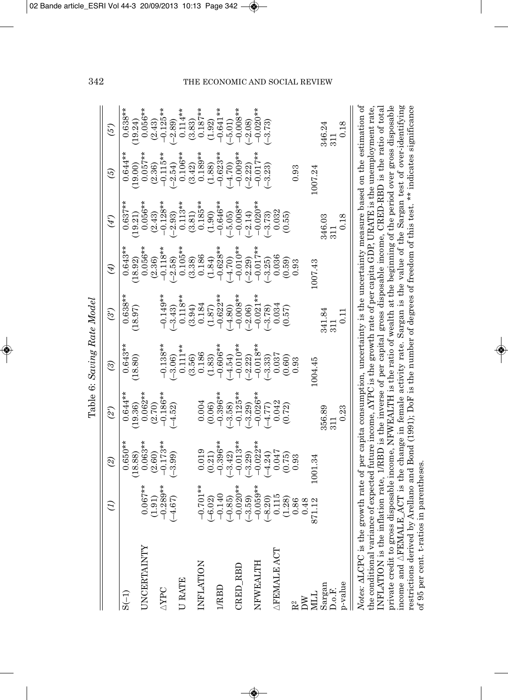|                                                                                                                                               | E                                  | <u>ବ</u>   | $\widetilde{\mathscr{E}}$ | ව                                                                                                        | $\widehat{(\mathcal{E})}$ | $\bigcirc$            | $\binom{4}{}$         | ලි                      | (5')       |
|-----------------------------------------------------------------------------------------------------------------------------------------------|------------------------------------|------------|---------------------------|----------------------------------------------------------------------------------------------------------|---------------------------|-----------------------|-----------------------|-------------------------|------------|
| $S(-1)$                                                                                                                                       |                                    | $0.650**$  | $0.644*$                  | $0.643**$                                                                                                | $0.638*$                  | 0.643                 | $0.637*$              | $0.644*$                | $0.638**$  |
|                                                                                                                                               |                                    | 18.88)     | (19.36)                   | (18.80)                                                                                                  | (18.97)                   | 18.92)                | 19.21)                | (19.00)                 | 19.24)     |
| UNCERTAINTY                                                                                                                                   | $0.067*$                           | $0.063**$  | $0.062**$                 |                                                                                                          |                           | $0.056**$             | $0.056**$             | $0.057**$               | $0.056**$  |
|                                                                                                                                               | (1.91)                             | (2.60)     | (2.70)                    |                                                                                                          |                           | (2.36)                | (2.43)                | (2.36)                  | (2.43)     |
| $\Delta {\rm YPC}$                                                                                                                            | $-0.289**$                         | $-0.173**$ | $-0.186**$                | $-0.138**$                                                                                               | $-0.149**$                | $-0.118**$            | $-0.128**$            | $-0.115**$              | $-0.125**$ |
|                                                                                                                                               | $(-4.67)$                          | $(-3.99)$  | $(-4.52)$                 | $(-3.06)$                                                                                                | $(-3.43)$                 | $(-2.58)$             | $(-2.93)$             | $\frac{-2.54}{0.106**}$ | $(-2.89)$  |
| <b>U RATE</b>                                                                                                                                 |                                    |            |                           | $0.111**$                                                                                                | $0.118*$                  | $0.105**$             | $0.113**$             |                         | $0.114**$  |
|                                                                                                                                               |                                    |            |                           | $\begin{array}{c} (3.56) \\ 0.186 \end{array}$                                                           | (3.94)                    | (3.38)                | (3.81)                | (3.42)                  | (3.83)     |
| INFLATION                                                                                                                                     | $-0.701**$                         | 0.019      | 0.004                     |                                                                                                          | 0.184                     | 0.186                 | $0.185**$             | $0.189**$               | $0.187**$  |
|                                                                                                                                               | $(-6.02)$                          | (0.21)     | (0.06)                    | $(1.83)$<br>-0.606**                                                                                     | (1.87)                    | (1.84)                | (1.90)                | (1.88)                  | (1.92)     |
| 1/RBD                                                                                                                                         | $-0.140$                           | $-0.396**$ | $-0.396**$                |                                                                                                          | $-0.622**$                | $-0.628**$            | $-0.646**$            | $-0.623**$              | $-0.641**$ |
|                                                                                                                                               |                                    | $(-3.42)$  | $(-3.58)$                 |                                                                                                          | $(-4.80)$                 | $(-4.70)$<br>-0.010** | $(-5.05)$<br>-0.008** | $(-4.70)$               | $(-5.01)$  |
| CRED_RED                                                                                                                                      | $(-0.85)$<br>-0.020**<br>(-3.59)   | $-0.013**$ | $-0.125**$                | $(-4.54)$<br>-0.010**                                                                                    | $-0.008**$                |                       |                       | $-0.009**$              | $-0.008**$ |
|                                                                                                                                               |                                    | $(-3.29)$  | $(-3.29)$                 | $(-2.22)$                                                                                                | $(-2.06)$                 | $(-2.29)$             | $(-2.14)$             | $(-2.22)$               | $(-2.08)$  |
| NFWEALTH                                                                                                                                      | $-0.059**$<br>$(-8.20)$<br>$0.115$ | $-0.022**$ | $-0.026**$                | $-0.018**$                                                                                               | $-0.021**$                | $-0.017**$            | $-0.020**$            | $-0.017**$              | $-0.020**$ |
|                                                                                                                                               |                                    | $(-4.24)$  | $(77, 4 - )$              | $(-3.33)$                                                                                                | $(-3.78)$                 | $(-3.25)$             | $(-3.73)$             | $(-3.23)$               | $(-3.73)$  |
| <b>AFEMALE ACT</b>                                                                                                                            |                                    | 0.047      | 0.042                     | 0.037                                                                                                    | 0.034                     | 0.036                 | 0.032                 |                         |            |
|                                                                                                                                               | (1.28)                             | (0.75)     |                           | (0.60)                                                                                                   | (0.57)                    | (0.59)                | (0.55)                |                         |            |
|                                                                                                                                               | $0.86$<br>0.48                     | 0.93       |                           | 0.93                                                                                                     |                           | 0.93                  |                       | 0.93                    |            |
| $\frac{1}{N}$                                                                                                                                 |                                    |            |                           |                                                                                                          |                           |                       |                       |                         |            |
|                                                                                                                                               | 871.12                             | 1001.34    |                           | 1004.45                                                                                                  |                           | 1007.43               |                       | 1007.24                 |            |
| Sargan D.o.F.                                                                                                                                 |                                    |            | 356.89                    |                                                                                                          | 341.84                    |                       | 346.03                |                         | 346.24     |
|                                                                                                                                               |                                    |            | 311                       |                                                                                                          | 311                       |                       | 311                   |                         | 311        |
| p-value                                                                                                                                       |                                    |            | 0.23                      |                                                                                                          | 0.11                      |                       | 0.18                  |                         | 0.18       |
| Notes: ALCPC is the                                                                                                                           |                                    |            |                           | growth rate of per capita consumption, uncertainty is the uncertainty measure based on the estimation of |                           |                       |                       |                         |            |
| the conditional variance of expected future income, $\Delta \text{YPC}$ is the growth rate of per capita GDP, URATE is the unemployment rate, |                                    |            |                           |                                                                                                          |                           |                       |                       |                         |            |
| INFLATION is the inflation rate, 1/RBD is the inverse of per capital gross disposable income, CRED-RBD is the ratio of total                  |                                    |            |                           |                                                                                                          |                           |                       |                       |                         |            |
| private credit to gross                                                                                                                       |                                    |            |                           | disposable income, NFWEALTH is the ratio of wealth at the beginning of the period over gross disposable  |                           |                       |                       |                         |            |
| income and AFEMAL                                                                                                                             |                                    |            |                           | E_ACT is the change in female activity rate. Sargan is the value of the Sargan test of over-identifying  |                           |                       |                       |                         |            |
| restrictions derived by Arellano and Bond (1991); DoF is the number of degrees of freedom of this test. ** indicates significance             |                                    |            |                           |                                                                                                          |                           |                       |                       |                         |            |

of 95 per cent. t-ratios in parentheses.

of 95 per cent. t-ratios in parentheses.

Table 6: Squing Rate Model Table 6: *Saving Rate Model*

# 342 THE ECONOMIC AND SOCIAL REVIEW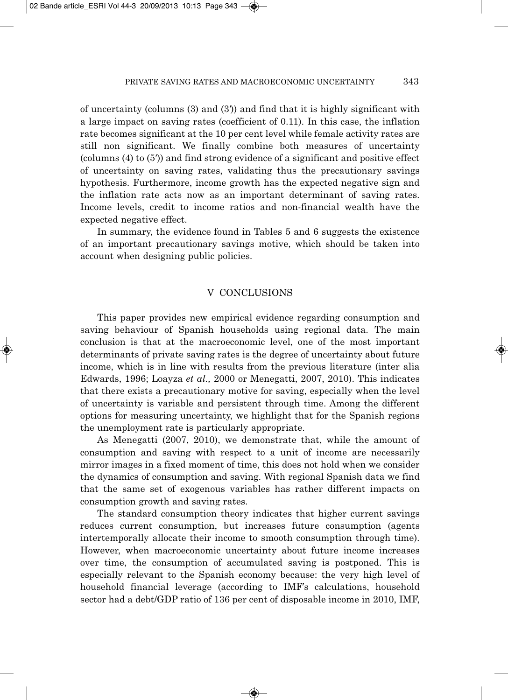of uncertainty (columns (3) and (3*'*)) and find that it is highly significant with a large impact on saving rates (coefficient of 0.11). In this case, the inflation rate becomes significant at the 10 per cent level while female activity rates are still non significant. We finally combine both measures of uncertainty (columns (4) to (5*'*)) and find strong evidence of a significant and positive effect of uncertainty on saving rates, validating thus the precautionary savings hypothesis. Furthermore, income growth has the expected negative sign and the inflation rate acts now as an important determinant of saving rates. Income levels, credit to income ratios and non-financial wealth have the expected negative effect.

In summary, the evidence found in Tables 5 and 6 suggests the existence of an important precautionary savings motive, which should be taken into account when designing public policies.

## V CONCLUSIONS

This paper provides new empirical evidence regarding consumption and saving behaviour of Spanish households using regional data. The main conclusion is that at the macroeconomic level, one of the most important determinants of private saving rates is the degree of uncertainty about future income, which is in line with results from the previous literature (inter alia Edwards, 1996; Loayza *et al.,* 2000 or Menegatti, 2007, 2010). This indicates that there exists a precautionary motive for saving, especially when the level of uncertainty is variable and persistent through time. Among the different options for measuring uncertainty, we highlight that for the Spanish regions the unemployment rate is particularly appropriate.

As Menegatti (2007, 2010), we demonstrate that, while the amount of consumption and saving with respect to a unit of income are necessarily mirror images in a fixed moment of time, this does not hold when we consider the dynamics of consumption and saving. With regional Spanish data we find that the same set of exogenous variables has rather different impacts on consumption growth and saving rates.

The standard consumption theory indicates that higher current savings reduces current consumption, but increases future consumption (agents intertemporally allocate their income to smooth consumption through time). However, when macroeconomic uncertainty about future income increases over time, the consumption of accumulated saving is postponed. This is especially relevant to the Spanish economy because: the very high level of household financial leverage (according to IMF's calculations, household sector had a debt/GDP ratio of 136 per cent of disposable income in 2010, IMF,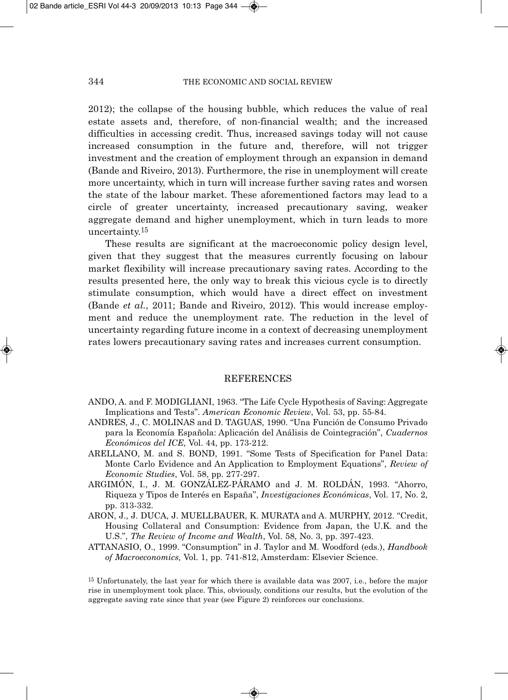2012); the collapse of the housing bubble, which reduces the value of real estate assets and, therefore, of non-financial wealth; and the increased difficulties in accessing credit. Thus, increased savings today will not cause increased consumption in the future and, therefore, will not trigger investment and the creation of employment through an expansion in demand (Bande and Riveiro, 2013). Furthermore, the rise in unemployment will create more uncertainty, which in turn will increase further saving rates and worsen the state of the labour market. These aforementioned factors may lead to a circle of greater uncertainty, increased precautionary saving, weaker aggregate demand and higher unemployment, which in turn leads to more uncertainty.15

These results are significant at the macroeconomic policy design level, given that they suggest that the measures currently focusing on labour market flexibility will increase precautionary saving rates. According to the results presented here, the only way to break this vicious cycle is to directly stimulate consumption, which would have a direct effect on investment (Bande *et al.*, 2011; Bande and Riveiro, 2012). This would increase employ ment and reduce the unemployment rate. The reduction in the level of uncertainty regarding future income in a context of decreasing unemployment rates lowers precautionary saving rates and increases current consumption.

## **REFERENCES**

- ANDO, A. and F. MODIGLIANI, 1963. "The Life Cycle Hypothesis of Saving: Aggregate Implications and Tests". *American Economic Review*, Vol. 53, pp. 55-84.
- ANDRES, J., C. MOLINAS and D. TAGUAS, 1990. "Una Función de Consumo Privado para la Economía Española: Aplicación del Análisis de Cointegración", *Cuadernos Económicos del ICE*, Vol. 44, pp. 173-212.
- ARELLANO, M. and S. BOND, 1991. "Some Tests of Specification for Panel Data: Monte Carlo Evidence and An Application to Employment Equations", *Review of Economic Studies*, Vol. 58, pp. 277-297.
- ARGIMÓN, I., J. M. GONZÁLEZ-PÁRAMO and J. M. ROLDÁN, 1993. "Ahorro, Riqueza y Tipos de Interés en España", *Investigaciones Económicas*, Vol. 17, No. 2, pp. 313-332.
- ARON, J., J. DUCA, J. MUELLBAUER, K. MURATA and A. MURPHY, 2012. "Credit, Housing Collateral and Consumption: Evidence from Japan, the U.K. and the U.S.", *The Review of Income and Wealth*, Vol. 58, No. 3, pp. 397-423.
- ATTANASIO, O., 1999. "Consumption" in J. Taylor and M. Woodford (eds.), *Handbook of Macroeconomics,* Vol. 1, pp. 741-812, Amsterdam: Elsevier Science.

<sup>15</sup> Unfortunately, the last year for which there is available data was 2007, i.e., before the major rise in unemployment took place. This, obviously, conditions our results, but the evolution of the aggregate saving rate since that year (see Figure 2) reinforces our conclusions.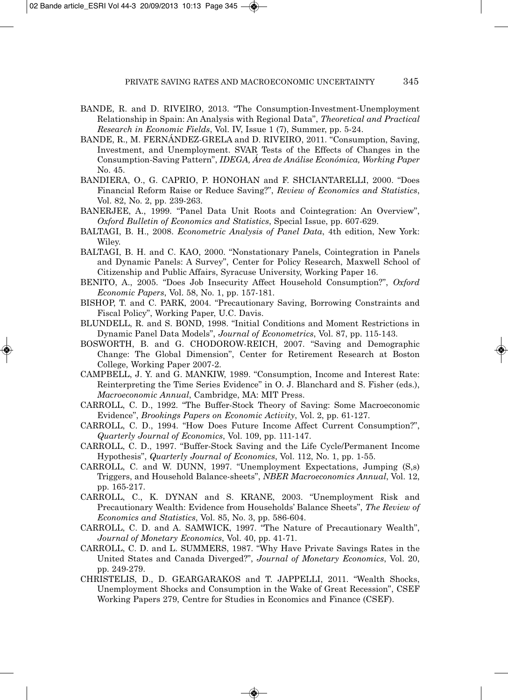- BANDE, R. and D. RIVEIRO, 2013. "The Consumption-Investment-Unemployment Relationship in Spain: An Analysis with Regional Data", *Theoretical and Practical Research in Economic Fields*, Vol. IV, Issue 1 (7), Summer, pp. 5-24.
- BANDE, R., M. FERNÁNDEZ-GRELA and D. RIVEIRO, 2011. "Consumption, Saving, Investment, and Unemployment. SVAR Tests of the Effects of Changes in the Consumption-Saving Pattern", *IDEGA, Área de Análise Económica, Working Paper* No. 45.
- BANDIERA, O., G. CAPRIO, P. HONOHAN and F. SHCIANTARELLI, 2000. "Does Financial Reform Raise or Reduce Saving?", *Review of Economics and Statistics*, Vol. 82, No. 2, pp. 239-263.
- BANERJEE, A., 1999. "Panel Data Unit Roots and Cointegration: An Overview", *Oxford Bulletin of Economics and Statistics*, Special Issue, pp. 607-629.
- BALTAGI, B. H., 2008. *Econometric Analysis of Panel Data*, 4th edition, New York: Wiley.
- BALTAGI, B. H. and C. KAO, 2000. "Nonstationary Panels, Cointegration in Panels and Dynamic Panels: A Survey", Center for Policy Research, Maxwell School of Citizenship and Public Affairs, Syracuse University, Working Paper 16.
- BENITO, A., 2005. "Does Job Insecurity Affect Household Consumption?", *Oxford Economic Papers*, Vol. 58, No. 1, pp. 157-181.
- BISHOP, T. and C. PARK, 2004. "Precautionary Saving, Borrowing Constraints and Fiscal Policy", Working Paper, U.C. Davis.
- BLUNDELL, R. and S. BOND, 1998. "Initial Conditions and Moment Restrictions in Dynamic Panel Data Models", *Journal of Econometrics*, Vol. 87, pp. 115-143.
- BOSWORTH, B. and G. CHODOROW-REICH, 2007. "Saving and Demographic Change: The Global Dimension", Center for Retirement Research at Boston College, Working Paper 2007-2.
- CAMPBELL, J. Y. and G. MANKIW, 1989. "Consumption, Income and Interest Rate: Reinterpreting the Time Series Evidence" in O. J. Blanchard and S. Fisher (eds.), *Macroeconomic Annual*, Cambridge, MA: MIT Press.
- CARROLL, C. D., 1992. "The Buffer-Stock Theory of Saving: Some Macroeconomic Evidence", *Brookings Papers on Economic Activity*, Vol. 2, pp. 61-127.
- CARROLL, C. D., 1994. "How Does Future Income Affect Current Consumption?", *Quarterly Journal of Economics*, Vol. 109, pp. 111-147.
- CARROLL, C. D., 1997. "Buffer-Stock Saving and the Life Cycle/Permanent Income Hypothesis", *Quarterly Journal of Economics*, Vol. 112, No. 1, pp. 1-55.
- CARROLL, C. and W. DUNN, 1997. "Unemployment Expectations, Jumping (S,s) Triggers, and Household Balance-sheets", *NBER Macroeconomics Annual*, Vol. 12, pp. 165-217.
- CARROLL, C., K. DYNAN and S. KRANE, 2003. "Unemployment Risk and Precautionary Wealth: Evidence from Households' Balance Sheets", *The Review of Economics and Statistics*, Vol. 85, No. 3, pp. 586-604.
- CARROLL, C. D. and A. SAMWICK, 1997. "The Nature of Precautionary Wealth", *Journal of Monetary Economics*, Vol. 40, pp. 41-71.
- CARROLL, C. D. and L. SUMMERS, 1987. "Why Have Private Savings Rates in the United States and Canada Diverged?", *Journal of Monetary Economics*, Vol. 20, pp. 249-279.
- CHRISTELIS, D., D. GEARGARAKOS and T. JAPPELLI, 2011. "Wealth Shocks, Unemployment Shocks and Consumption in the Wake of Great Recession", CSEF Working Papers 279, Centre for Studies in Economics and Finance (CSEF).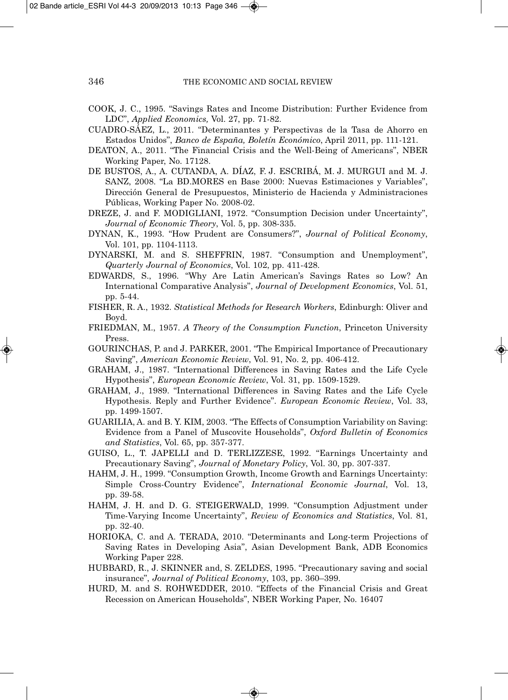- COOK, J. C., 1995. "Savings Rates and Income Distribution: Further Evidence from LDC", *Applied Economics,* Vol. 27, pp. 71-82.
- CUADRO-SÁEZ, L., 2011. "Determinantes y Perspectivas de la Tasa de Ahorro en Estados Unidos", *Banco de España, Boletín Económico*, April 2011, pp. 111-121.
- DEATON, A., 2011. "The Financial Crisis and the Well-Being of Americans", NBER Working Paper, No. 17128.
- DE BUSTOS, A., A. CUTANDA, A. DÍAZ, F. J. ESCRIBÁ, M. J. MURGUI and M. J. SANZ, 2008. "La BD.MORES en Base 2000: Nuevas Estimaciones y Variables", Dirección General de Presupuestos, Ministerio de Hacienda y Administraciones Públicas, Working Paper No. 2008-02.
- DREZE, J. and F. MODIGLIANI, 1972. "Consumption Decision under Uncertainty", *Journal of Economic Theory*, Vol. 5, pp. 308-335.
- DYNAN, K., 1993. "How Prudent are Consumers?", *Journal of Political Economy*, Vol. 101, pp. 1104-1113.
- DYNARSKI, M. and S. SHEFFRIN, 1987. "Consumption and Unemployment", *Quarterly Journal of Economics*, Vol. 102, pp. 411-428.
- EDWARDS, S., 1996. "Why Are Latin American's Savings Rates so Low? An International Comparative Analysis", *Journal of Development Economics*, Vol. 51, pp. 5-44.
- FISHER, R. A., 1932. *Statistical Methods for Research Workers*, Edinburgh: Oliver and Boyd.
- FRIEDMAN, M., 1957. *A Theory of the Consumption Function*, Princeton University Press.
- GOURINCHAS, P. and J. PARKER, 2001. "The Empirical Importance of Precautionary Saving", *American Economic Review*, Vol. 91, No. 2, pp. 406-412.
- GRAHAM, J., 1987. "International Differences in Saving Rates and the Life Cycle Hypothesis", *European Economic Review*, Vol. 31, pp. 1509-1529.
- GRAHAM, J., 1989. "International Differences in Saving Rates and the Life Cycle Hypothesis. Reply and Further Evidence". *European Economic Review*, Vol. 33, pp. 1499-1507.
- GUARILIA, A. and B. Y. KIM, 2003. "The Effects of Consumption Variability on Saving: Evidence from a Panel of Muscovite Households", *Oxford Bulletin of Economics and Statistics*, Vol. 65, pp. 357-377.
- GUISO, L., T. JAPELLI and D. TERLIZZESE, 1992. "Earnings Uncertainty and Precautionary Saving", *Journal of Monetary Policy*, Vol. 30, pp. 307-337.
- HAHM, J. H., 1999. "Consumption Growth, Income Growth and Earnings Uncertainty: Simple Cross-Country Evidence", *International Economic Journal*, Vol. 13, pp. 39-58.
- HAHM, J. H. and D. G. STEIGERWALD, 1999. "Consumption Adjustment under Time-Varying Income Uncertainty", *Review of Economics and Statistics*, Vol. 81, pp. 32-40.
- HORIOKA, C. and A. TERADA, 2010. "Determinants and Long-term Projections of Saving Rates in Developing Asia", Asian Development Bank, ADB Economics Working Paper 228.
- HUBBARD, R., J. SKINNER and, S. ZELDES, 1995. "Precautionary saving and social insurance", *Journal of Political Economy*, 103, pp. 360–399.
- HURD, M. and S. ROHWEDDER, 2010. "Effects of the Financial Crisis and Great Recession on American Households", NBER Working Paper, No. 16407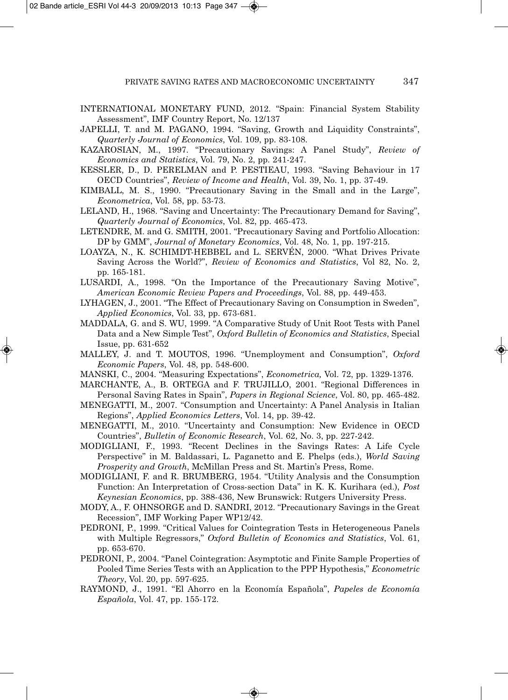- INTERNATIONAL MONETARY FUND, 2012. "Spain: Financial System Stability Assessment", IMF Country Report, No. 12/137
- JAPELLI, T. and M. PAGANO, 1994. "Saving, Growth and Liquidity Constraints", *Quarterly Journal of Economics*, Vol. 109, pp. 83-108.
- KAZAROSIAN, M., 1997. "Precautionary Savings: A Panel Study", *Review of Economics and Statistics*, Vol. 79, No. 2, pp. 241-247.
- KESSLER, D., D. PERELMAN and P. PESTIEAU, 1993. "Saving Behaviour in 17 OECD Countries", *Review of Income and Health*, Vol. 39, No. 1, pp. 37-49.
- KIMBALL, M. S., 1990. "Precautionary Saving in the Small and in the Large", *Econometrica*, Vol. 58, pp. 53-73.
- LELAND, H., 1968. "Saving and Uncertainty: The Precautionary Demand for Saving", *Quarterly Journal of Economics*, Vol. 82, pp. 465-473.
- LETENDRE, M. and G. SMITH, 2001. "Precautionary Saving and Portfolio Allocation: DP by GMM", *Journal of Monetary Economics*, Vol. 48, No. 1, pp. 197-215.
- LOAYZA, N., K. SCHIMDT-HEBBEL and L. SERVÉN, 2000. "What Drives Private Saving Across the World?", *Review of Economics and Statistics*, Vol 82, No. 2, pp. 165-181.
- LUSARDI, A., 1998. "On the Importance of the Precautionary Saving Motive", *American Economic Review Papers and Proceedings*, Vol. 88, pp. 449-453.
- LYHAGEN, J., 2001. "The Effect of Precautionary Saving on Consumption in Sweden", *Applied Economics*, Vol. 33, pp. 673-681.
- MADDALA, G. and S. WU, 1999. "A Comparative Study of Unit Root Tests with Panel Data and a New Simple Test", *Oxford Bulletin of Economics and Statistics*, Special Issue, pp. 631-652
- MALLEY, J. and T. MOUTOS, 1996. "Unemployment and Consumption", *Oxford Economic Papers*, Vol. 48, pp. 548-600.
- MANSKI, C., 2004. "Measuring Expectations", *Econometrica,* Vol. 72, pp. 1329-1376.
- MARCHANTE, A., B. ORTEGA and F. TRUJILLO, 2001. "Regional Differences in Personal Saving Rates in Spain", *Papers in Regional Science*, Vol. 80, pp. 465-482.
- MENEGATTI, M., 2007. "Consumption and Uncertainty: A Panel Analysis in Italian Regions", *Applied Economics Letters*, Vol. 14, pp. 39-42.
- MENEGATTI, M., 2010. "Uncertainty and Consumption: New Evidence in OECD Countries", *Bulletin of Economic Research*, Vol. 62, No. 3, pp. 227-242.
- MODIGLIANI, F., 1993. "Recent Declines in the Savings Rates: A Life Cycle Perspective" in M. Baldassari, L. Paganetto and E. Phelps (eds.), *World Saving Prosperity and Growth*, McMillan Press and St. Martin's Press, Rome.
- MODIGLIANI, F. and R. BRUMBERG, 1954. "Utility Analysis and the Consumption Function: An Interpretation of Cross-section Data" in K. K. Kurihara (ed.), *Post Keynesian Economics*, pp. 388-436, New Brunswick: Rutgers University Press.
- MODY, A., F. OHNSORGE and D. SANDRI, 2012. "Precautionary Savings in the Great Recession", IMF Working Paper WP12/42.
- PEDRONI, P., 1999. "Critical Values for Cointegration Tests in Heterogeneous Panels with Multiple Regressors," *Oxford Bulletin of Economics and Statistics*, Vol. 61, pp. 653-670.
- PEDRONI, P., 2004. "Panel Cointegration: Asymptotic and Finite Sample Properties of Pooled Time Series Tests with an Application to the PPP Hypothesis," *Econometric Theory*, Vol. 20, pp. 597-625.
- RAYMOND, J., 1991. "El Ahorro en la Economía Española", *Papeles de Economía Española*, Vol. 47, pp. 155-172.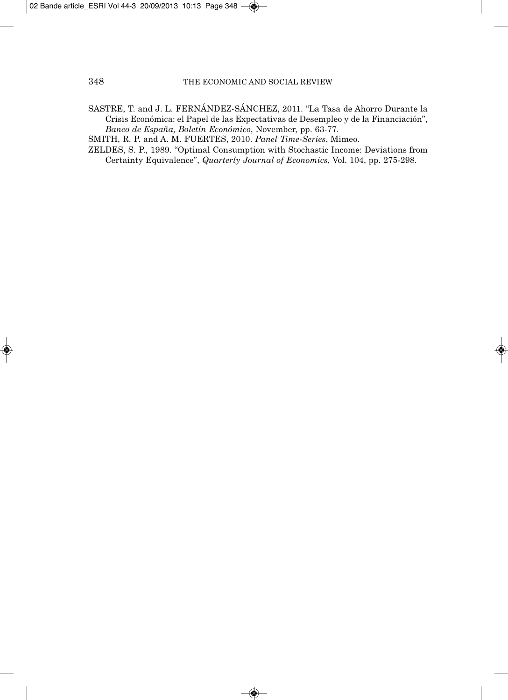SASTRE, T. and J. L. FERNÁNDEZ-SÁNCHEZ, 2011. "La Tasa de Ahorro Durante la Crisis Económica: el Papel de las Expectativas de Desempleo y de la Financiación", *Banco de España, Boletín Económico*, November, pp. 63-77.

SMITH, R. P. and A. M. FUERTES, 2010. *Panel Time-Series*, Mimeo.

ZELDES, S. P., 1989. "Optimal Consumption with Stochastic Income: Deviations from Certainty Equivalence", *Quarterly Journal of Economics*, Vol. 104, pp. 275-298.